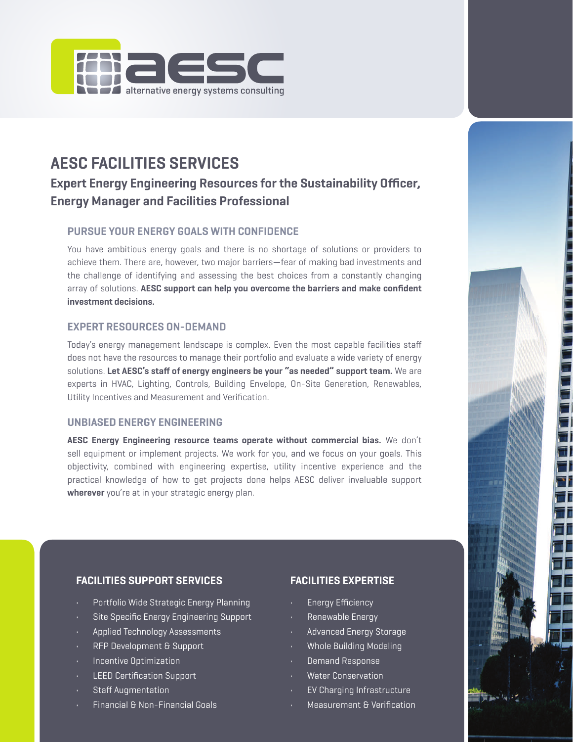

# **AESC FACILITIES SERVICES**

## **Expert Energy Engineering Resources for the Sustainability Officer, Energy Manager and Facilities Professional**

### **PURSUE YOUR ENERGY GOALS WITH CONFIDENCE**

You have ambitious energy goals and there is no shortage of solutions or providers to achieve them. There are, however, two major barriers—fear of making bad investments and the challenge of identifying and assessing the best choices from a constantly changing array of solutions. **AESC support can help you overcome the barriers and make confident investment decisions.**

#### **EXPERT RESOURCES ON-DEMAND**

Today's energy management landscape is complex. Even the most capable facilities staff does not have the resources to manage their portfolio and evaluate a wide variety of energy solutions. **Let AESC's staff of energy engineers be your "as needed" support team.** We are experts in HVAC, Lighting, Controls, Building Envelope, On-Site Generation, Renewables, Utility Incentives and Measurement and Verification.

#### **UNBIASED ENERGY ENGINEERING**

**AESC Energy Engineering resource teams operate without commercial bias.** We don't sell equipment or implement projects. We work for you, and we focus on your goals. This objectivity, combined with engineering expertise, utility incentive experience and the practical knowledge of how to get projects done helps AESC deliver invaluable support **wherever** you're at in your strategic energy plan.

#### **FACILITIES SUPPORT SERVICES**

- Portfolio Wide Strategic Energy Planning
- Site Specific Energy Engineering Support
- Applied Technology Assessments
- RFP Development & Support
- Incentive Optimization
- LEED Certification Support
- Staff Augmentation
- Financial & Non-Financial Goals

### **FACILITIES EXPERTISE**

- Energy Efficiency
- Renewable Energy
- Advanced Energy Storage
- Whole Building Modeling
- Demand Response
- Water Conservation
- EV Charging Infrastructure
- Measurement & Verification